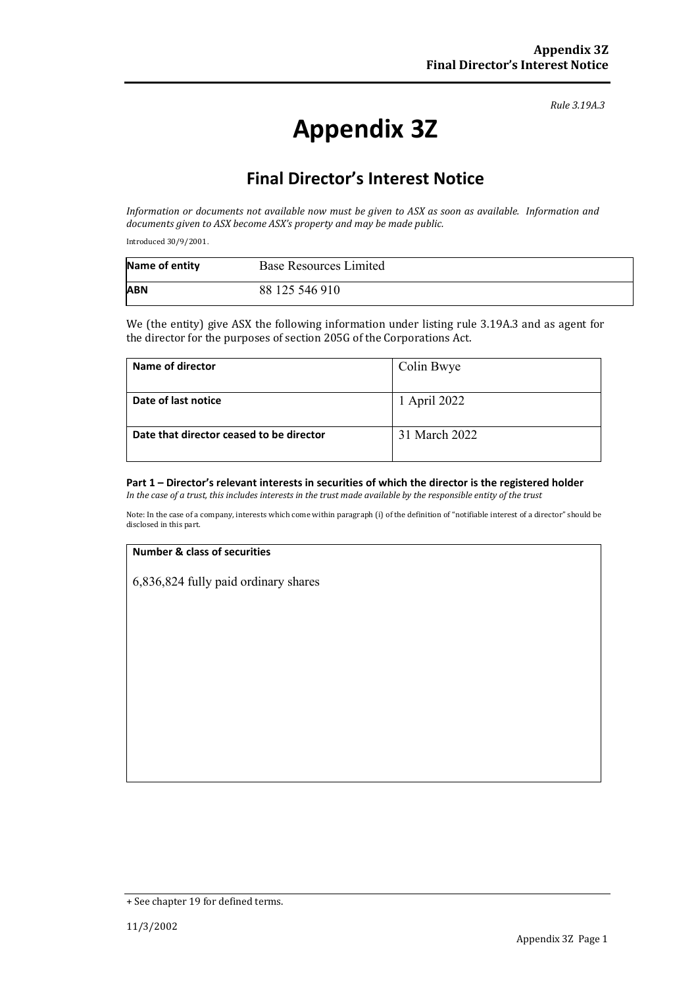*Rule 3.19A.3*

# **Appendix 3Z**

## **Final Director's Interest Notice**

*Information or documents not available now must be given to ASX as soon as available. Information and documents given to ASX become ASX's property and may be made public.*

Introduced 30/9/2001.

| Name of entity | <b>Base Resources Limited</b> |
|----------------|-------------------------------|
| <b>ABN</b>     | 88 125 546 910                |

We (the entity) give ASX the following information under listing rule 3.19A.3 and as agent for the director for the purposes of section 205G of the Corporations Act.

| Name of director                         | Colin Bwye    |
|------------------------------------------|---------------|
| Date of last notice                      | 1 April 2022  |
| Date that director ceased to be director | 31 March 2022 |

### **Part 1 – Director's relevant interests in securities of which the director is the registered holder**

*In the case of a trust, this includes interests in the trust made available by the responsible entity of the trust*

Note: In the case of a company, interests which come within paragraph (i) of the definition of "notifiable interest of a director" should be disclosed in this part.

#### **Number & class of securities**

6,836,824 fully paid ordinary shares

<sup>+</sup> See chapter 19 for defined terms.